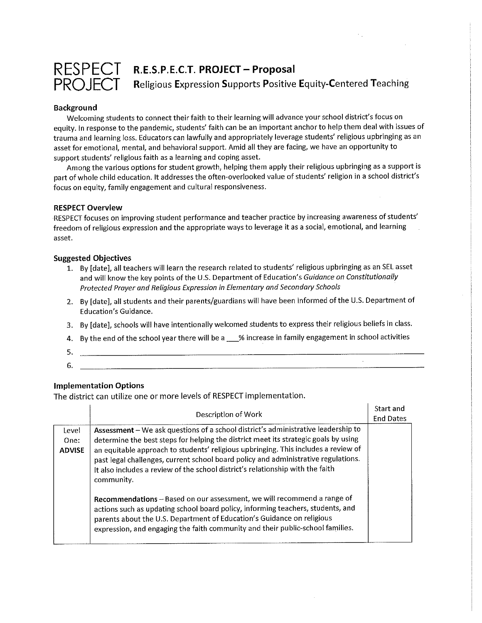

RESPECT R.E.S.P.E.C.T. PROJECT-Proposal PROJECT Religious Expression Supports Positive Equity-Centered Teaching

### Background

Welcoming students to connect their faith to their learning will advance your school district's focus on equity. In response to the pandemic, students'faith can be an important anchor to help them deal with issues of trauma and learning loss. Educators can lawfully and appropriately leverage students' religious upbringing as an asset for emotional, mental, and behavioral support. Amid all they are facing, we have an opportunity to support students' religious faith as a learning and coping asset.

Among the various options for student growth, helping them apply their religious upbringing as a support is part of whole child education. It addresses the often-overlooked value of students' religion in a school district's focus on equity, family engagement and cultural responsiveness.

### RESPECT Overview

RESPECT focuses on improving student performance and teacher practice by increasing awareness of students' freedom of religious expression and the appropriate ways to leverage it as a social, emotional, and learning asset.

#### Suggested Objectives

- 1. By [date], all teachers will learn the research related to students' religious upbringing as an SEL asset and will know the key points of the U.S. Department of Education's Guidance on Constitutionally Protected Prayer and Religious Expression in Elementary and Secondary Schools
- 2. By [date], all students and their parents/guardians will have been informed of the U.S. Department of Education's Guidance.
- 3. By [date], schools will have intentionally welcomed students to express their religious beliefs in class.
- 4. By the end of the school year there will be a \_% increase in family engagement in school activities

 $\bar{z}$ 

- 5.
- 6.

### Implementation Options

The district can utilize one or more levels of RESPECT implementation.

|                                | Description of Work                                                                                                                                                                                                                                                                                                                                                                                                                                  | <b>Start and</b><br><b>End Dates</b> |  |
|--------------------------------|------------------------------------------------------------------------------------------------------------------------------------------------------------------------------------------------------------------------------------------------------------------------------------------------------------------------------------------------------------------------------------------------------------------------------------------------------|--------------------------------------|--|
| Level<br>One:<br><b>ADVISE</b> | Assessment - We ask questions of a school district's administrative leadership to<br>determine the best steps for helping the district meet its strategic goals by using<br>an equitable approach to students' religious upbringing. This includes a review of<br>past legal challenges, current school board policy and administrative regulations.<br>It also includes a review of the school district's relationship with the faith<br>community. |                                      |  |
|                                | Recommendations - Based on our assessment, we will recommend a range of<br>actions such as updating school board policy, informing teachers, students, and<br>parents about the U.S. Department of Education's Guidance on religious<br>expression, and engaging the faith community and their public-school families.                                                                                                                               |                                      |  |